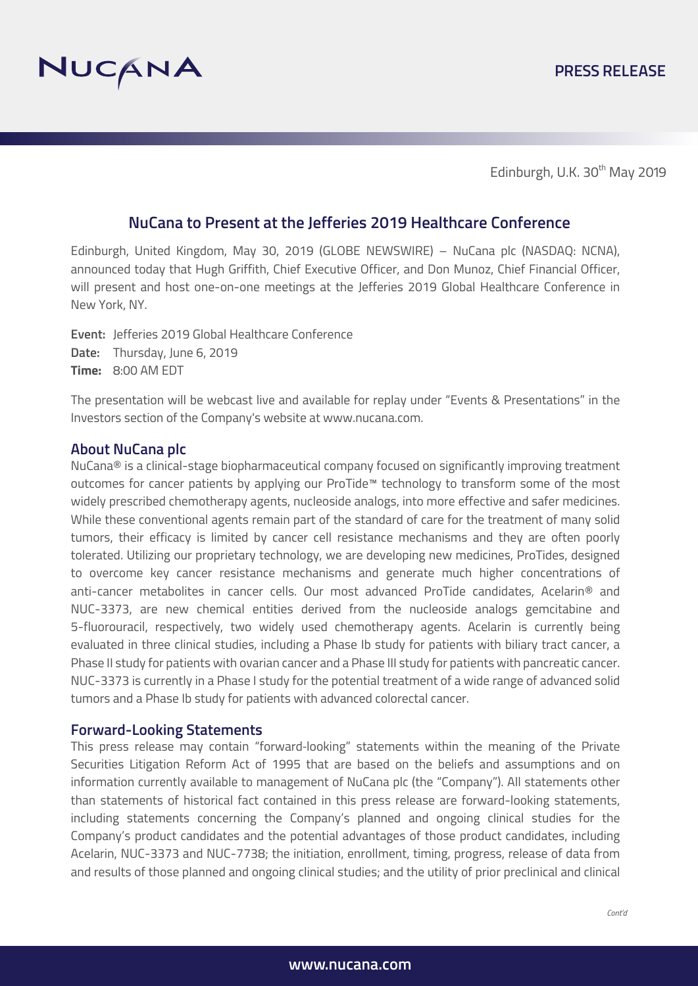

Edinburgh, U.K. 30<sup>th</sup> May 2019

## **NuCana to Present at the Jefferies 2019 Healthcare Conference**

Edinburgh, United Kingdom, May 30, 2019 (GLOBE NEWSWIRE) – NuCana plc (NASDAQ: NCNA), announced today that Hugh Griffith, Chief Executive Officer, and Don Munoz, Chief Financial Officer, will present and host one-on-one meetings at the Jefferies 2019 Global Healthcare Conference in New York, NY.

**Event:** Jefferies 2019 Global Healthcare Conference **Date:** Thursday, June 6, 2019 **Time:** 8:00 AM EDT

The presentation will be webcast live and available for replay under "Events & Presentations" in the Investors section of the Company's website at www.nucana.com.

#### **About NuCana plc**

NuCana<sup>®</sup> is a clinical-stage biopharmaceutical company focused on significantly improving treatment outcomes for cancer patients by applying our ProTide™ technology to transform some of the most widely prescribed chemotherapy agents, nucleoside analogs, into more effective and safer medicines. While these conventional agents remain part of the standard of care for the treatment of many solid tumors, their efficacy is limited by cancer cell resistance mechanisms and they are often poorly tolerated. Utilizing our proprietary technology, we are developing new medicines, ProTides, designed to overcome key cancer resistance mechanisms and generate much higher concentrations of anti-cancer metabolites in cancer cells. Our most advanced ProTide candidates, Acelarin® and NUC-3373, are new chemical entities derived from the nucleoside analogs gemcitabine and 5-fluorouracil, respectively, two widely used chemotherapy agents. Acelarin is currently being evaluated in three clinical studies, including a Phase Ib study for patients with biliary tract cancer, a Phase II study for patients with ovarian cancer and a Phase III study for patients with pancreatic cancer. NUC-3373 is currently in a Phase I study for the potential treatment of a wide range of advanced solid tumors and a Phase Ib study for patients with advanced colorectal cancer.

### **Forward-Looking Statements**

This press release may contain "forward-looking" statements within the meaning of the Private Securities Litigation Reform Act of 1995 that are based on the beliefs and assumptions and on information currently available to management of NuCana plc (the "Company"). All statements other than statements of historical fact contained in this press release are forward-looking statements, including statements concerning the Company's planned and ongoing clinical studies for the Company's product candidates and the potential advantages of those product candidates, including Acelarin, NUC-3373 and NUC-7738; the initiation, enrollment, timing, progress, release of data from and results of those planned and ongoing clinical studies; and the utility of prior preclinical and clinical